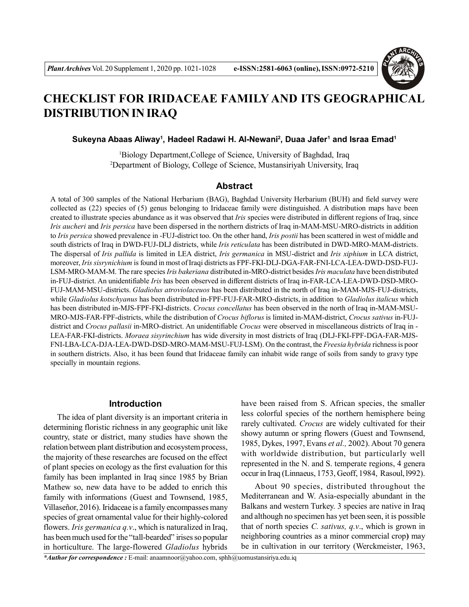

# **CHECKLIST FOR IRIDACEAE FAMILY AND ITS GEOGRAPHICAL DISTRIBUTION IN IRAQ**

### **Sukeyna Abaas Aliway<sup>1</sup> , Hadeel Radawi H. Al-Newani<sup>2</sup> , Duaa Jafer<sup>1</sup> and Israa Emad<sup>1</sup>**

<sup>1</sup>Biology Department,College of Science, University of Baghdad, Iraq <sup>2</sup>Department of Biology, College of Science, Mustansiriyah University, Iraq

# **Abstract**

A total of 300 samples of the National Herbarium (BAG), Baghdad University Herbarium (BUH) and field survey were collected as (22) species of (5) genus belonging to Iridaceae family were distinguished. A distribution maps have been created to illustrate species abundance as it was observed that *Iris* species were distributed in different regions of Iraq, since *Iris aucheri* and *Iris persica* have been dispersed in the northern districts of Iraq in-MAM-MSU-MRO-districts in addition to *Iris persica* showed prevalence in -FUJ-district too. On the other hand, *Iris postii* has been scattered in west of middle and south districts of Iraq in DWD-FUJ-DLJ districts, while *Iris reticulata* has been distributed in DWD-MRO-MAM-districts. The dispersal of *Iris pallida* is limited in LEA district, *Iris germanica* in MSU-district and *Iris xiphium* in LCA district, moreover, *Iris sisrynichium* is found in most of Iraqi districts as FPF-FKI-DLJ-DGA-FAR-FNI-LCA-LEA-DWD-DSD-FUJ-LSM-MRO-MAM-M. The rare species *Iris bakeriana* distributed in-MRO-district besides *Iris maculata* have been distributed in-FUJ-district. An unidentifiable *Iris* has been observed in different districts of Iraq in-FAR-LCA-LEA-DWD-DSD-MRO-FUJ-MAM-MSU-districts. *Gladiolus atroviolaceuos* has been distributed in the north of Iraq in-MAM-MJS-FUJ-districts, while *Gladiolus kotschyanus* has been distributed in-FPF-FUJ-FAR-MRO-districts, in addition to *Gladiolus italicus* which has been distributed in-MJS-FPF-FKI-districts. *Crocus concellatus* has been observed in the north of Iraq in-MAM-MSU-MRO-MJS-FAR-FPF-districts, while the distribution of *Crocus biflorus* is limited in-MAM-district, *Crocus sativus* in-FUJdistrict and *Crocus pallasii* in-MRO-district. An unidentifiable *Crocus* were observed in miscellaneous districts of Iraq in - LEA-FAR-FKI-districts. *Moraea sisyrinchium* has wide diversity in most districts of Iraq (DLJ-FKI-FPF-DGA-FAR-MJS-FNI-LBA-LCA-DJA-LEA-DWD-DSD-MRO-MAM-MSU-FUJ-LSM). On the contrast, the *Freesia hybrida* richness is poor in southern districts. Also, it has been found that Iridaceae family can inhabit wide range of soils from sandy to gravy type specially in mountain regions.

#### **Introduction**

The idea of plant diversity is an important criteria in determining floristic richness in any geographic unit like country, state or district, many studies have shown the relation between plant distribution and ecosystem process, the majority of these researches are focused on the effect of plant species on ecology as the first evaluation for this family has been implanted in Iraq since 1985 by Brian Mathew so, new data have to be added to enrich this family with informations (Guest and Townsend, 1985, Villaseñor, 2016). Iridaceae is a family encompasses many species of great ornamental value for their highly-colored flowers. *Iris germanica q.v*., which is naturalized in Iraq, has been much used for the "tall-bearded" irises so popular in horticulture. The large-flowered *Gladiolus* hybrids have been raised from S. African species, the smaller less colorful species of the northern hemisphere being rarely cultivated. *Crocus* are widely cultivated for their showy autumn or spring flowers (Guest and Townsend, 1985, Dykes, 1997, Evans *et al.,* 2002). About 70 genera with worldwide distribution, but particularly well represented in the N. and S. temperate regions, 4 genera occur in Iraq (Linnaeus, 1753, Geoff, 1984, Rasoul, l992).

About 90 species, distributed throughout the Mediterranean and W. Asia-especially abundant in the Balkans and western Turkey. 3 species are native in Iraq and although no specimen has yet been seen, it is possible that of north species *C. sativus, q.v*., which is grown in neighboring countries as a minor commercial crop**)** may be in cultivation in our territory (Werckmeister, 1963,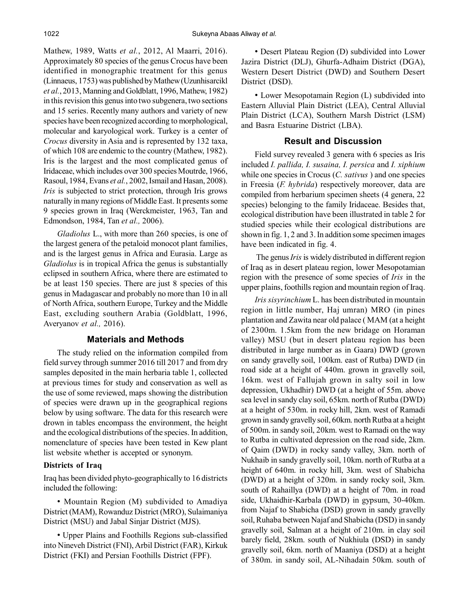Mathew, 1989, Watts *et al.*, 2012, Al Maarri, 2016). Approximately 80 species of the genus Crocus have been identified in monographic treatment for this genus (Linnaeus, 1753) was published by Mathew (Uzunhisarcikl *et al.*, 2013, Manning and Goldblatt, 1996, Mathew, 1982) in this revision this genus into two subgenera, two sections and 15 series. Recently many authors and variety of new species have been recognized according to morphological, molecular and karyological work. Turkey is a center of *Crocus* diversity in Asia and is represented by 132 taxa, of which 108 are endemic to the country (Mathew, 1982). Iris is the largest and the most complicated genus of Iridaceae, which includes over 300 species Moutrde, 1966, Rasoul, 1984, Evans *et al.*, 2002, Ismail and Hasan, 2008). *Iris* is subjected to strict protection, through Iris grows naturally in many regions of Middle East. It presents some 9 species grown in Iraq (Werckmeister, 1963, Tan and Edmondson, 1984, Tan *et al.,* 2006).

*Gladiolus* L., with more than 260 species, is one of the largest genera of the petaloid monocot plant families, and is the largest genus in Africa and Eurasia. Large as *Gladiolus* is in tropical Africa the genus is substantially eclipsed in southern Africa, where there are estimated to be at least 150 species. There are just 8 species of this genus in Madagascar and probably no more than 10 in all of North Africa, southern Europe, Turkey and the Middle East, excluding southern Arabia (Goldblatt, 1996, Averyanov *et al.,* 2016).

# **Materials and Methods**

The study relied on the information compiled from field survey through summer 2016 till 2017 and from dry samples deposited in the main herbaria table 1, collected at previous times for study and conservation as well as the use of some reviewed, maps showing the distribution of species were drawn up in the geographical regions below by using software. The data for this research were drown in tables encompass the environment, the height and the ecological distributions of the species. In addition, nomenclature of species have been tested in Kew plant list website whether is accepted or synonym.

# **Districts of Iraq**

Iraq has been divided phyto-geographically to 16 districts included the following:

• Mountain Region (M) subdivided to Amadiya District (MAM), Rowanduz District (MRO), Sulaimaniya District (MSU) and Jabal Sinjar District (MJS).

• Upper Plains and Foothills Regions sub-classified into Nineveh District (FNI), Arbil District (FAR), Kirkuk District (FKI) and Persian Foothills District (FPF).

• Desert Plateau Region (D) subdivided into Lower Jazira District (DLJ), Ghurfa-Adhaim District (DGA), Western Desert District (DWD) and Southern Desert District (DSD).

• Lower Mesopotamain Region (L) subdivided into Eastern Alluvial Plain District (LEA), Central Alluvial Plain District (LCA), Southern Marsh District (LSM) and Basra Estuarine District (LBA).

### **Result and Discussion**

Field survey revealed 3 genera with 6 species as Iris included *I. pallida, I. susaina, I. persica* and *I. xiphium* while one species in Crocus (*C. sativus* ) and one species in Freesia (*F. hybrida*) respectively moreover, data are compiled from herbarium specimen sheets (4 genera, 22 species) belonging to the family Iridaceae. Besides that, ecological distribution have been illustrated in table 2 for studied species while their ecological distributions are shown in fig. 1, 2 and 3. In addition some specimen images have been indicated in fig. 4.

 The genus *Iris* is widely distributed in different region of Iraq as in desert plateau region, lower Mesopotamian region with the presence of some species of *Iris* in the upper plains, foothills region and mountain region of Iraq.

*Iris sisyrinchium* L. has been distributed in mountain region in little number, Haj umran) MRO (in pines plantation and Zawita near old palace ( MAM (at a height of 2300m. 1.5km from the new bridage on Horaman valley) MSU (but in desert plateau region has been distributed in large number as in Gaara) DWD (grown on sandy gravelly soil, 100km. east of Rutba) DWD (in road side at a height of 440m. grown in gravelly soil, 16km. west of Fallujah grown in salty soil in low depression, Ukhadhir) DWD (at a height of 55m. above sea level in sandy clay soil, 65km. north of Rutba (DWD) at a height of 530m. in rocky hill, 2km. west of Ramadi grown in sandy gravelly soil, 60km. north Rutba at a height of 500m. in sandy soil, 20km. west to Ramadi on the way to Rutba in cultivated depression on the road side, 2km. of Qaim (DWD) in rocky sandy valley, 3km. north of Nukhaib in sandy gravelly soil, 10km. north of Rutba at a height of 640m. in rocky hill, 3km. west of Shabicha (DWD) at a height of 320m. in sandy rocky soil, 3km. south of Rahaillya (DWD) at a height of 70m. in road side, Ukhaidhir-Karbala (DWD) in gypsum, 30-40km. from Najaf to Shabicha (DSD) grown in sandy gravelly soil, Ruhaba between Najaf and Shabicha (DSD) in sandy gravelly soil, Salman at a height of 210m. in clay soil barely field, 28km. south of Nukhiula (DSD) in sandy gravelly soil, 6km. north of Maaniya (DSD) at a height of 380m. in sandy soil, AL-Nihadain 50km. south of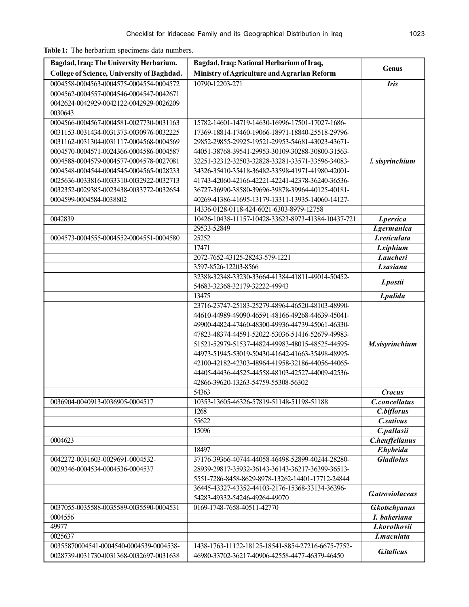**Table 1:** The herbarium specimens data numbers.

| Bagdad, Iraq: The University Herbarium.    | Bagdad, Iraq: National Herbarium of Iraq,                                                            | Genus                      |  |
|--------------------------------------------|------------------------------------------------------------------------------------------------------|----------------------------|--|
| College of Science, University of Baghdad. | Ministry of Agriculture and Agrarian Reform                                                          |                            |  |
| 0004558-0004563-0004575-0004554-0004572    | 10790-12203-271                                                                                      | <b>Iris</b>                |  |
| 0004562-0004557-0004546-0004547-0042671    |                                                                                                      |                            |  |
| 0042624-0042929-0042122-0042929-0026209    |                                                                                                      |                            |  |
| 0030643                                    |                                                                                                      |                            |  |
| 0004566-0004567-0004581-0027730-0031163    | 15782-14601-14719-14630-16996-17501-17027-1686-                                                      |                            |  |
| 0031153-0031434-0031373-0030976-0032225    | 17369-18814-17460-19066-18971-18840-25518-29796-                                                     |                            |  |
| 0031162-0031304-0031117-0004568-0004569    | 29852-29855-29925-19521-29953-54681-43023-43671-                                                     |                            |  |
| 0004570-0004571-0024366-0004586-0004587    | 44051-38768-39541-29953-30109-30288-30800-31563-                                                     |                            |  |
| 0004588-0004579-0004577-0004578-0027081    | 32251-32312-32503-32828-33281-33571-33596-34083-                                                     | I. sisyrinchium            |  |
| 0004548-0004544-0004545-0004565-0028233    | 34326-35410-35418-36482-33598-41971-41980-42001-                                                     |                            |  |
| 0025636-0033816-0033310-0032922-0032713    | 41743-42060-42166-42221-42241-42378-36240-36536-                                                     |                            |  |
| 0032352-0029385-0023438-0033772-0032654    | 36727-36990-38580-39696-39878-39964-40125-40181-                                                     |                            |  |
| 0004599-0004584-0038802                    | 40269-41386-41695-13179-13311-13935-14060-14127-                                                     |                            |  |
|                                            | 14336-0128-0118-424-6021-6303-8979-12758                                                             |                            |  |
| 0042839                                    | 10426-10438-11157-10428-33623-8973-41384-10437-721                                                   | I.persica                  |  |
|                                            | 29533-52849                                                                                          | <b>I</b> .germanica        |  |
| 0004573-0004555-0004552-0004551-0004580    | 25252                                                                                                | <i><b>I.reticulata</b></i> |  |
|                                            | 17471                                                                                                | <b>I</b> .xiphium          |  |
|                                            | 2072-7652-43125-28243-579-1221                                                                       | <i><b>I.aucheri</b></i>    |  |
|                                            | 3597-8526-12203-8566                                                                                 | <i><b>I.sasiana</b></i>    |  |
|                                            | 32388-32348-33230-33664-41384-41811-49014-50452-                                                     | I.postii                   |  |
|                                            | 54683-32368-32179-32222-49943                                                                        |                            |  |
|                                            | 13475                                                                                                | I.palida                   |  |
|                                            | 23716-23747-25183-25279-48964-46520-48103-48990-<br>44610-44989-49090-46591-48166-49268-44639-45041- |                            |  |
|                                            | 49900-44824-47460-48300-49936-44739-45061-46330-                                                     |                            |  |
|                                            | 47823-48374-44591-52022-53036-51416-52679-49983-                                                     |                            |  |
|                                            | 51521-52979-51537-44824-49983-48015-48525-44595-                                                     | M.sisyrinchium             |  |
|                                            | 44973-51945-53019-50430-41642-41663-35498-48995-                                                     |                            |  |
|                                            | 42100-42182-42303-48964-41958-32186-44056-44065-                                                     |                            |  |
|                                            | 44405-44436-44525-44558-48103-42527-44009-42536-                                                     |                            |  |
|                                            | 42866-39620-13263-54759-55308-56302                                                                  |                            |  |
|                                            | 54363                                                                                                | <b>Crocus</b>              |  |
| 0036904-0040913-0036905-0004517            | 10353-13605-46326-57819-51148-51198-51188                                                            | C.concellatus              |  |
|                                            | 1268                                                                                                 | C.biflorus                 |  |
|                                            | 55622                                                                                                | <b>C.sativus</b>           |  |
|                                            | 15096                                                                                                | C.pallasii                 |  |
| 0004623                                    |                                                                                                      | C.heuffelianus             |  |
|                                            | 18497                                                                                                | <b>F.hybrida</b>           |  |
| 0042272-0031603-0029691-0004532-           | 37176-39366-40744-44058-46498-52899-40244-28280-                                                     | <b>Gladiolus</b>           |  |
| 0029346-0004534-0004536-0004537            | 28939-29817-35932-36143-36143-36217-36399-36513-                                                     |                            |  |
|                                            | 5551-7286-8458-8629-8978-13262-14401-17712-24844                                                     |                            |  |
|                                            | 36445-43327-43352-44103-2176-15368-33134-36396-                                                      |                            |  |
|                                            | 54283-49332-54246-49264-49070                                                                        | <b>Gatroviolaceas</b>      |  |
| 0037055-0035588-0035589-0035590-0004531    | 0169-1748-7658-40511-42770                                                                           | <b>G</b> kotschyanus       |  |
| 0004556                                    |                                                                                                      | I. bakeriana               |  |
| 49977                                      |                                                                                                      | I.korolkovii               |  |
| 0025637                                    |                                                                                                      | I.maculata                 |  |
| 00355870004541-0004540-0004539-0004538-    | 1438-1763-11122-18125-18541-8854-27216-6675-7752-                                                    | <b>G.</b> italicus         |  |
| 0028739-0031730-0031368-0032697-0031638    | 46980-33702-36217-40906-42558-4477-46379-46450                                                       |                            |  |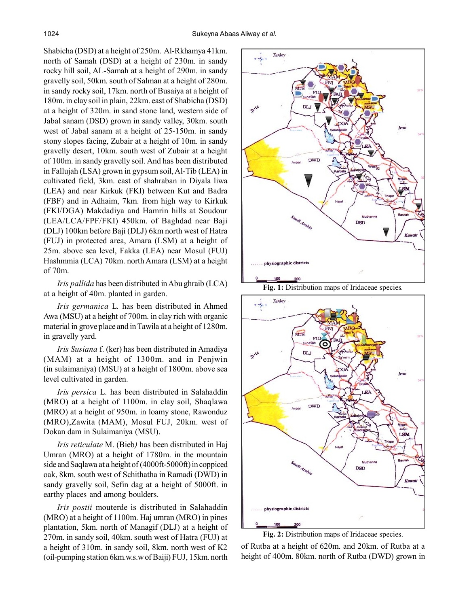Shabicha (DSD) at a height of 250m. Al-Rkhamya 41km. north of Samah (DSD) at a height of 230m. in sandy rocky hill soil, AL-Samah at a height of 290m. in sandy gravelly soil, 50km. south of Salman at a height of 280m. in sandy rocky soil, 17km. north of Busaiya at a height of 180m. in clay soil in plain, 22km. east of Shabicha (DSD) at a height of 320m. in sand stone land, western side of Jabal sanam (DSD) grown in sandy valley, 30km. south west of Jabal sanam at a height of 25-150m. in sandy stony slopes facing, Zubair at a height of 10m. in sandy gravelly desert, 10km. south west of Zubair at a height of 100m. in sandy gravelly soil. And has been distributed in Fallujah (LSA) grown in gypsum soil, Al-Tib (LEA) in cultivated field, 3km. east of shahraban in Diyala liwa (LEA) and near Kirkuk (FKI) between Kut and Badra (FBF) and in Adhaim, 7km. from high way to Kirkuk (FKI/DGA) Makdadiya and Hamrin hills at Soudour (LEA/LCA/FPF/FKI) 450km. of Baghdad near Baji (DLJ) 100km before Baji (DLJ) 6km north west of Hatra (FUJ) in protected area, Amara (LSM) at a height of 25m. above sea level, Fakka (LEA) near Mosul (FUJ) Hashmmia (LCA) 70km. north Amara (LSM) at a height of 70m.

*Iris pallida* has been distributed in Abu ghraib (LCA) at a height of 40m. planted in garden.

*Iris germanica* L*.* has been distributed in Ahmed Awa (MSU) at a height of 700m. in clay rich with organic material in grove place and in Tawila at a height of 1280m. in gravelly yard.

*Iris Susiana* f. (ker) has been distributed in Amadiya (MAM) at a height of 1300m. and in Penjwin (in sulaimaniya) (MSU) at a height of 1800m. above sea level cultivated in garden.

*Iris persica* L*.* has been distributed in Salahaddin (MRO) at a height of 1100m. in clay soil, Shaqlawa (MRO) at a height of 950m. in loamy stone, Rawonduz (MRO),Zawita (MAM), Mosul FUJ, 20km. west of Dokan dam in Sulaimaniya (MSU).

*Iris reticulate* M. (Bieb*)* has been distributed in Haj Umran (MRO) at a height of 1780m. in the mountain side and Saqlawa at a height of (4000ft-5000ft) in coppiced oak, 8km. south west of Schithatha in Ramadi (DWD) in sandy gravelly soil, Sefin dag at a height of 5000ft. in earthy places and among boulders.

*Iris postii* mouterde is distributed in Salahaddin (MRO) at a height of 1100m. Haj umran (MRO) in pines plantation, 5km. north of Managif (DLJ) at a height of 270m. in sandy soil, 40km. south west of Hatra (FUJ) at a height of 310m. in sandy soil, 8km. north west of K2 (oil-pumping station 6km.w.s.w of Baiji) FUJ, 15km. north





**Fig. 2:** Distribution maps of Iridaceae species.

of Rutba at a height of 620m. and 20km. of Rutba at a height of 400m. 80km. north of Rutba (DWD) grown in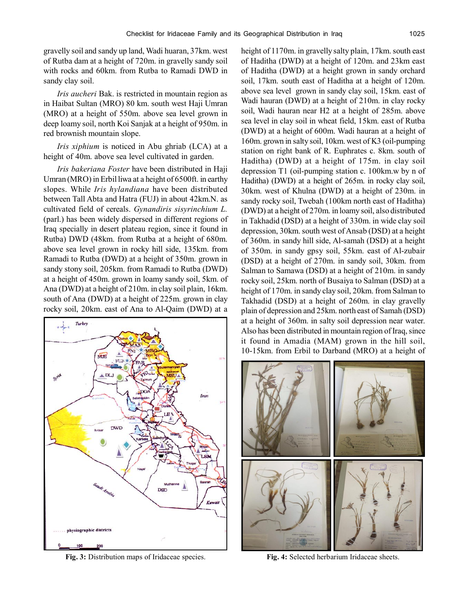gravelly soil and sandy up land, Wadi huaran, 37km. west of Rutba dam at a height of 720m. in gravelly sandy soil with rocks and 60km. from Rutba to Ramadi DWD in sandy clay soil.

*Iris aucheri* Bak. is restricted in mountain region as in Haibat Sultan (MRO) 80 km. south west Haji Umran (MRO) at a height of 550m. above sea level grown in deep loamy soil, north Koi Sanjak at a height of 950m. in red brownish mountain slope.

*Iris xiphium* is noticed in Abu ghriab (LCA) at a height of 40m. above sea level cultivated in garden.

*Iris bakeriana Foster* have been distributed in Haji Umran (MRO) in Erbil liwa at a height of 6500ft. in earthy slopes. While *Iris hylandiana* have been distributed between Tall Abta and Hatra (FUJ) in about 42km.N. as cultivated field of cereals. *Gynandiris sisyrinchium L.* (parl.) has been widely dispersed in different regions of Iraq specially in desert plateau region, since it found in Rutba) DWD (48km. from Rutba at a height of 680m. above sea level grown in rocky hill side, 135km. from Ramadi to Rutba (DWD) at a height of 350m. grown in sandy stony soil, 205km. from Ramadi to Rutba (DWD) at a height of 450m. grown in loamy sandy soil, 5km. of Ana (DWD) at a height of 210m. in clay soil plain, 16km. south of Ana (DWD) at a height of 225m. grown in clay rocky soil, 20km. east of Ana to Al-Qaim (DWD) at a



**Fig. 3:** Distribution maps of Iridaceae species. **Fig. 4:** Selected herbarium Iridaceae sheets.

height of 1170m. in gravelly salty plain, 17km. south east of Haditha (DWD) at a height of 120m. and 23km east of Haditha (DWD) at a height grown in sandy orchard soil, 17km. south east of Haditha at a height of 120m. above sea level grown in sandy clay soil, 15km. east of Wadi hauran (DWD) at a height of 210m. in clay rocky soil, Wadi hauran near H2 at a height of 285m. above sea level in clay soil in wheat field, 15km. east of Rutba (DWD) at a height of 600m. Wadi hauran at a height of 160m. grown in salty soil, 10km. west of K3 (oil-pumping station on right bank of R. Euphrates c. 8km. south of Haditha) (DWD) at a height of 175m. in clay soil depression T1 (oil-pumping station c. 100km.w by n of Haditha) (DWD) at a height of 265m. in rocky clay soil, 30km. west of Khulna (DWD) at a height of 230m. in sandy rocky soil, Twebah (100km north east of Haditha) (DWD) at a height of 270m. in loamy soil, also distributed in Takhadid (DSD) at a height of 330m. in wide clay soil depression, 30km. south west of Ansab (DSD) at a height of 360m. in sandy hill side, Al-samah (DSD) at a height of 350m. in sandy gpsy soil, 55km. east of Al-zubair (DSD) at a height of 270m. in sandy soil, 30km. from Salman to Samawa (DSD) at a height of 210m. in sandy rocky soil, 25km. north of Busaiya to Salman (DSD) at a height of 170m. in sandy clay soil, 20km. from Salman to Takhadid (DSD) at a height of 260m. in clay gravelly plain of depression and 25km. north east of Samah (DSD) at a height of 360m. in salty soil depression near water. Also has been distributed in mountain region of Iraq, since it found in Amadia (MAM) grown in the hill soil, 10-15km. from Erbil to Darband (MRO) at a height of

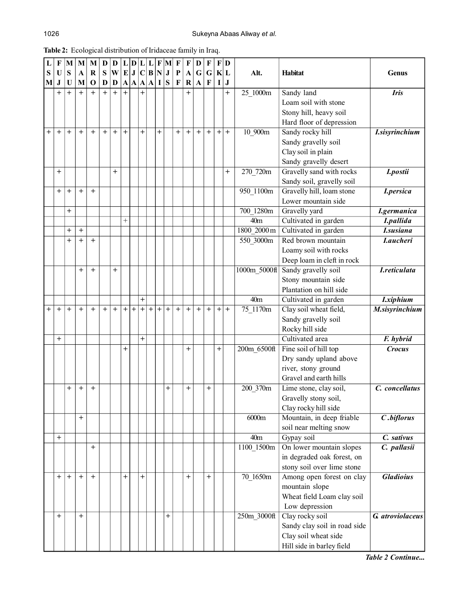| ۹<br>۰.<br>٠ |  |
|--------------|--|
|--------------|--|

| L              | F              | $\mathbf{M}$   | M           | M           | D   | $\mathbf D$    |                | L D L |                | $L$ $F$ $M$ |           |                | $\mathbf F$ | $\bf{F}$              | D                 | F                                | F         | D       |                 |                                               |                       |
|----------------|----------------|----------------|-------------|-------------|-----|----------------|----------------|-------|----------------|-------------|-----------|----------------|-------------|-----------------------|-------------------|----------------------------------|-----------|---------|-----------------|-----------------------------------------------|-----------------------|
| S              | U              | S              | $\mathbf A$ | $\bf R$     | S   | $ \mathbf{W} $ |                | E J C |                | B N J       |           |                | $\mathbf P$ | $\boldsymbol{\rm{A}}$ | $\mathbf G$       | $\mathbf G$                      |           | K L     | Alt.            | <b>Habitat</b>                                | <b>Genus</b>          |
| M              | $\bf J$        | U              | M           | $\mathbf 0$ | D   | D              |                |       |                | A A A A I S |           |                | $\mathbf F$ | $\bf R$               | $\mathbf{A}$      | $\mathbf{F}$                     | L         | $\bf J$ |                 |                                               |                       |
|                | $^{+}$         | $\overline{+}$ | $^{+}$      | $+$         | $+$ | $+$            |                |       | $\overline{+}$ |             |           |                |             | $^{+}$                |                   |                                  |           | $^{+}$  | 25_1000m        | Sandy land                                    | <b>Iris</b>           |
|                |                |                |             |             |     |                |                |       |                |             |           |                |             |                       |                   |                                  |           |         |                 | Loam soil with stone                          |                       |
|                |                |                |             |             |     |                |                |       |                |             |           |                |             |                       |                   |                                  |           |         |                 | Stony hill, heavy soil                        |                       |
|                |                |                |             |             |     |                |                |       |                |             |           |                |             |                       |                   |                                  |           |         |                 | Hard floor of depression                      |                       |
| $^{+}$         | $^{+}$         | $^{+}$         | $+$         | $\ddot{}$   | $+$ | $^{+}$         | $\overline{+}$ |       | $\overline{+}$ |             | $\ddot{}$ |                | $^{+}$      | $\qquad \qquad +$     | $\qquad \qquad +$ | $\begin{array}{c} + \end{array}$ | $+$       | $^{+}$  | 10 900m         | Sandy rocky hill                              | <b>I.sisyrinchium</b> |
|                |                |                |             |             |     |                |                |       |                |             |           |                |             |                       |                   |                                  |           |         |                 | Sandy gravelly soil                           |                       |
|                |                |                |             |             |     |                |                |       |                |             |           |                |             |                       |                   |                                  |           |         |                 | Clay soil in plain                            |                       |
|                |                |                |             |             |     |                |                |       |                |             |           |                |             |                       |                   |                                  |           |         |                 | Sandy gravelly desert                         |                       |
|                | $^{+}$         |                |             |             |     | $^{+}$         |                |       |                |             |           |                |             |                       |                   |                                  |           | $^+$    | 270 720m        | Gravelly sand with rocks                      | I.postii              |
|                |                |                |             |             |     |                |                |       |                |             |           |                |             |                       |                   |                                  |           |         |                 | Sandy soil, gravelly soil                     |                       |
|                | $\overline{+}$ | $\, +$         | $^{+}$      | $^{+}$      |     |                |                |       |                |             |           |                |             |                       |                   |                                  |           |         | 950 1100m       | Gravelly hill, loam stone                     | <b>I.persica</b>      |
|                |                |                |             |             |     |                |                |       |                |             |           |                |             |                       |                   |                                  |           |         |                 | Lower mountain side                           |                       |
|                |                | $\,{}^+$       |             |             |     |                |                |       |                |             |           |                |             |                       |                   |                                  |           |         | 700 1280m       | Gravelly yard                                 | I.germanica           |
|                |                |                |             |             |     |                | $^{+}$         |       |                |             |           |                |             |                       |                   |                                  |           |         | 40 <sub>m</sub> | Cultivated in garden                          | I.pallida             |
|                |                | $\,{}^+$       | $^{+}$      |             |     |                |                |       |                |             |           |                |             |                       |                   |                                  |           |         | 1800 2000 m     | Cultivated in garden                          | <b>I</b> .susiana     |
|                |                | $\ddot{}$      | $^{+}$      | $\ddot{}$   |     |                |                |       |                |             |           |                |             |                       |                   |                                  |           |         | 550 3000m       | Red brown mountain                            | <b>Laucheri</b>       |
|                |                |                |             |             |     |                |                |       |                |             |           |                |             |                       |                   |                                  |           |         |                 | Loamy soil with rocks                         |                       |
|                |                |                |             |             |     |                |                |       |                |             |           |                |             |                       |                   |                                  |           |         |                 | Deep loam in cleft in rock                    |                       |
|                |                |                | $^{+}$      | $\ddot{}$   |     | $\mathrm{+}$   |                |       |                |             |           |                |             |                       |                   |                                  |           |         | 1000m 5000ft    | Sandy gravelly soil                           | <b>I.reticulata</b>   |
|                |                |                |             |             |     |                |                |       |                |             |           |                |             |                       |                   |                                  |           |         |                 | Stony mountain side                           |                       |
|                |                |                |             |             |     |                |                |       |                |             |           |                |             |                       |                   |                                  |           |         |                 | Plantation on hill side                       |                       |
|                |                |                |             |             |     |                |                |       | $\ddot{}$      |             |           |                |             |                       |                   |                                  |           |         | 40 <sub>m</sub> | Cultivated in garden                          | <b>I</b> .xiphium     |
| $\overline{+}$ | $^{+}$         | $\ddot{}$      | $^{+}$      | $\ddot{}$   | $+$ | $+$            | $+$            | $+$   | $+$            | $+$         | $+$       | $^{+}$         | $+$         | $\ddot{}$             | $^{+}$            | $^{+}$                           | $+$       | $^{+}$  | 75 1170m        | Clay soil wheat field,                        | M.sisyrinchium        |
|                |                |                |             |             |     |                |                |       |                |             |           |                |             |                       |                   |                                  |           |         |                 | Sandy gravelly soil                           |                       |
|                |                |                |             |             |     |                |                |       |                |             |           |                |             |                       |                   |                                  |           |         |                 | Rocky hill side                               |                       |
|                | $^{+}$         |                |             |             |     |                |                |       | $^{+}$         |             |           |                |             |                       |                   |                                  |           |         |                 | Cultivated area                               | F. hybrid             |
|                |                |                |             |             |     |                | $^{+}$         |       |                |             |           |                |             | $\ddot{}$             |                   |                                  | $\ddot{}$ |         | 200m 6500ft     | Fine soil of hill top                         | <b>Crocus</b>         |
|                |                |                |             |             |     |                |                |       |                |             |           |                |             |                       |                   |                                  |           |         |                 | Dry sandy upland above                        |                       |
|                |                |                |             |             |     |                |                |       |                |             |           |                |             |                       |                   |                                  |           |         |                 | river, stony ground<br>Gravel and earth hills |                       |
|                |                | $\overline{+}$ | $^{+}$      | $\ddot{}$   |     |                |                |       |                |             |           | $\overline{+}$ |             | $\overline{+}$        |                   | $\,+\,$                          |           |         | 200 370m        | Lime stone, clay soil,                        | C. concellatus        |
|                |                |                |             |             |     |                |                |       |                |             |           |                |             |                       |                   |                                  |           |         |                 | Gravelly stony soil,                          |                       |
|                |                |                |             |             |     |                |                |       |                |             |           |                |             |                       |                   |                                  |           |         |                 | Clay rocky hill side                          |                       |
|                |                |                | $^{+}$      |             |     |                |                |       |                |             |           |                |             |                       |                   |                                  |           |         | 6000m           | Mountain, in deep friable                     | C.biflorus            |
|                |                |                |             |             |     |                |                |       |                |             |           |                |             |                       |                   |                                  |           |         |                 | soil near melting snow                        |                       |
|                | $\ddot{}$      |                |             |             |     |                |                |       |                |             |           |                |             |                       |                   |                                  |           |         | 40 <sub>m</sub> | Gypay soil                                    | C. sativus            |
|                |                |                |             | $^{+}$      |     |                |                |       |                |             |           |                |             |                       |                   |                                  |           |         | 1100_1500m      | On lower mountain slopes                      | C. pallasii           |
|                |                |                |             |             |     |                |                |       |                |             |           |                |             |                       |                   |                                  |           |         |                 | in degraded oak forest, on                    |                       |
|                |                |                |             |             |     |                |                |       |                |             |           |                |             |                       |                   |                                  |           |         |                 | stony soil over lime stone                    |                       |
|                | $^{+}$         | $\overline{+}$ | $^{+}$      | $^{+}$      |     |                | $^+$           |       | $^{+}$         |             |           |                |             | $\ddot{}$             |                   | $^{+}$                           |           |         | 70 1650m        | Among open forest on clay                     | <b>Gladioius</b>      |
|                |                |                |             |             |     |                |                |       |                |             |           |                |             |                       |                   |                                  |           |         |                 | mountain slope                                |                       |
|                |                |                |             |             |     |                |                |       |                |             |           |                |             |                       |                   |                                  |           |         |                 | Wheat field Loam clay soil                    |                       |
|                |                |                |             |             |     |                |                |       |                |             |           |                |             |                       |                   |                                  |           |         |                 | Low depression                                |                       |
|                | $+$            |                | $^{+}$      |             |     |                |                |       |                |             |           | $+$            |             |                       |                   |                                  |           |         | 250m 3000ft     | Clay rocky soil                               | G. atroviolaceus      |
|                |                |                |             |             |     |                |                |       |                |             |           |                |             |                       |                   |                                  |           |         |                 | Sandy clay soil in road side                  |                       |
|                |                |                |             |             |     |                |                |       |                |             |           |                |             |                       |                   |                                  |           |         |                 | Clay soil wheat side                          |                       |
|                |                |                |             |             |     |                |                |       |                |             |           |                |             |                       |                   |                                  |           |         |                 | Hill side in barley field                     |                       |

**Table 2:** Ecological distribution of Iridaceae family in Iraq.

*Table 2 Continue...*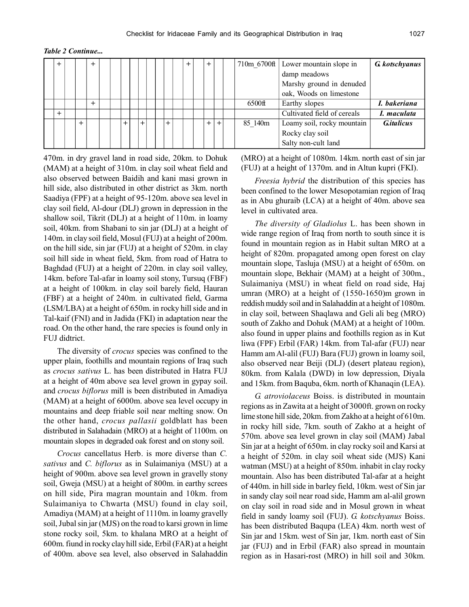*Table 2 Continue...*

| + |  | $+$ |  |  |  |  | + | $^{+}$ |        | 710m 6700ft | Lower mountain slope in     | <b>G</b> kotschyanus |
|---|--|-----|--|--|--|--|---|--------|--------|-------------|-----------------------------|----------------------|
|   |  |     |  |  |  |  |   |        |        |             | damp meadows                |                      |
|   |  |     |  |  |  |  |   |        |        |             | Marshy ground in denuded    |                      |
|   |  |     |  |  |  |  |   |        |        |             | oak, Woods on limestone     |                      |
|   |  | $+$ |  |  |  |  |   |        |        | 6500ft      | Earthy slopes               | I. bakeriana         |
|   |  |     |  |  |  |  |   |        |        |             | Cultivated field of cereals | I. maculata          |
|   |  |     |  |  |  |  |   | $+$    | $^{+}$ | 85 140m     | Loamy soil, rocky mountain  | <b>G.</b> italicus   |
|   |  |     |  |  |  |  |   |        |        |             | Rocky clay soil             |                      |
|   |  |     |  |  |  |  |   |        |        |             | Salty non-cult land         |                      |

470m. in dry gravel land in road side, 20km. to Dohuk (MAM) at a height of 310m. in clay soil wheat field and also observed between Baidih and kani masi grown in hill side, also distributed in other district as 3km. north Saadiya (FPF) at a height of 95-120m. above sea level in clay soil field, Al-dour (DLJ) grown in depression in the shallow soil, Tikrit (DLJ) at a height of 110m. in loamy soil, 40km. from Shabani to sin jar (DLJ) at a height of 140m. in clay soil field, Mosul (FUJ) at a height of 200m. on the hill side, sin jar (FUJ) at a height of 520m. in clay soil hill side in wheat field, 5km. from road of Hatra to Baghdad (FUJ) at a height of 220m. in clay soil valley, 14km. before Tal-afar in loamy soil stony, Tursuq (FBF) at a height of 100km. in clay soil barely field, Hauran (FBF) at a height of 240m. in cultivated field, Garma (LSM/LBA) at a height of 650m. in rocky hill side and in Tal-kaif (FNI) and in Jadida (FKI) in adaptation near the road. On the other hand, the rare species is found only in FUJ didtrict.

The diversity of *crocus* species was confined to the upper plain, foothills and mountain regions of Iraq such as *crocus sativus* L. has been distributed in Hatra FUJ at a height of 40m above sea level grown in gypay soil. and *crocus biflorus* mill is been distributed in Amadiya (MAM) at a height of 6000m. above sea level occupy in mountains and deep friable soil near melting snow. On the other hand, *crocus pallasii* goldblatt has been distributed in Salahadain (MRO) at a height of 1100m. on mountain slopes in degraded oak forest and on stony soil.

*Crocus* cancellatus Herb. is more diverse than *C. sativus* and *C. biflorus* as in Sulaimaniya (MSU) at a height of 900m. above sea level grown in gravelly stony soil, Gweja (MSU) at a height of 800m. in earthy screes on hill side, Pira magran mountain and 10km. from Sulaimaniya to Chwarta (MSU) found in clay soil, Amadiya (MAM) at a height of 1110m. in loamy gravelly soil, Jubal sin jar (MJS) on the road to karsi grown in lime stone rocky soil, 5km. to khalana MRO at a height of 600m. fiund in rocky clay hill side, Erbil (FAR) at a height of 400m. above sea level, also observed in Salahaddin (MRO) at a height of 1080m. 14km. north east of sin jar (FUJ) at a height of 1370m. and in Altun kupri (FKI).

*Freesia hybrid* the distribution of this species has been confined to the lower Mesopotamian region of Iraq as in Abu ghuraib (LCA) at a height of 40m. above sea level in cultivated area.

*The diversity of Gladiolus* L. has been shown in wide range region of Iraq from north to south since it is found in mountain region as in Habit sultan MRO at a height of 820m. propagated among open forest on clay mountain slope, Tasluja (MSU) at a height of 650m. on mountain slope, Bekhair (MAM) at a height of 300m., Sulaimaniya (MSU) in wheat field on road side, Haj umran (MRO) at a height of (1550-1650)m grown in reddish muddy soil and in Salahaddin at a height of 1080m. in clay soil, between Shaqlawa and Geli ali beg (MRO) south of Zakho and Dohuk (MAM) at a height of 100m. also found in upper plains and foothills region as in Kut liwa (FPF) Erbil (FAR) 14km. from Tal-afar (FUJ) near Hamm am Al-alil (FUJ) Bara (FUJ) grown in loamy soil, also observed near Beiji (DLJ) (desert plateau region), 80km. from Kalala (DWD) in low depression, Diyala and 15km. from Baquba, 6km. north of Khanaqin (LEA).

*G. atroviolaceus* Boiss. is distributed in mountain regions as in Zawita at a height of 3000ft. grown on rocky lime stone hill side, 20km. from Zakho at a height of 610m. in rocky hill side, 7km. south of Zakho at a height of 570m. above sea level grown in clay soil (MAM) Jabal Sin jar at a height of 650m. in clay rocky soil and Karsi at a height of 520m. in clay soil wheat side (MJS) Kani watman (MSU) at a height of 850m. inhabit in clay rocky mountain. Also has been distributed Tal-afar at a height of 440m. in hill side in barley field, 10km. west of Sin jar in sandy clay soil near road side, Hamm am al-alil grown on clay soil in road side and in Mosul grown in wheat field in sandy loamy soil (FUJ). *G. kotschyanus* Boiss. has been distributed Baqupa (LEA) 4km. north west of Sin jar and 15km. west of Sin jar, 1km. north east of Sin jar (FUJ) and in Erbil (FAR) also spread in mountain region as in Hasari-rost (MRO) in hill soil and 30km.